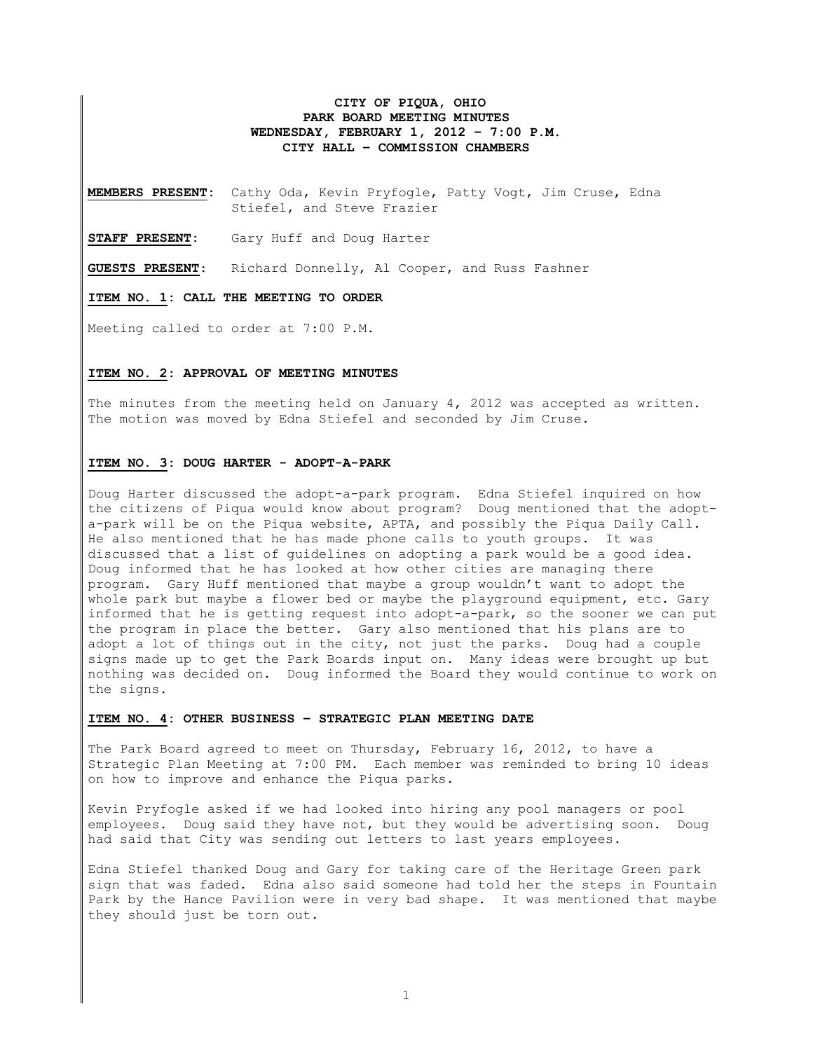# **CITY OF PIQUA, OHIO PARK BOARD MEETING MINUTES WEDNESDAY, FEBRUARY 1, 2012 – 7:00 P.M. CITY HALL – COMMISSION CHAMBERS**

**MEMBERS PRESENT:** Cathy Oda, Kevin Pryfogle, Patty Vogt, Jim Cruse, Edna Stiefel, and Steve Frazier

**STAFF PRESENT:** Gary Huff and Doug Harter

**GUESTS PRESENT**: Richard Donnelly, Al Cooper, and Russ Fashner

**ITEM NO. 1: CALL THE MEETING TO ORDER** 

Meeting called to order at 7:00 P.M.

### **ITEM NO. 2: APPROVAL OF MEETING MINUTES**

The minutes from the meeting held on January 4, 2012 was accepted as written. The motion was moved by Edna Stiefel and seconded by Jim Cruse.

#### **ITEM NO. 3: DOUG HARTER - ADOPT-A-PARK**

Doug Harter discussed the adopt-a-park program. Edna Stiefel inquired on how the citizens of Piqua would know about program? Doug mentioned that the adopta-park will be on the Piqua website, APTA, and possibly the Piqua Daily Call. He also mentioned that he has made phone calls to youth groups. It was discussed that a list of guidelines on adopting a park would be a good idea. Doug informed that he has looked at how other cities are managing there program. Gary Huff mentioned that maybe a group wouldn't want to adopt the whole park but maybe a flower bed or maybe the playground equipment, etc. Gary informed that he is getting request into adopt-a-park, so the sooner we can put the program in place the better. Gary also mentioned that his plans are to adopt a lot of things out in the city, not just the parks. Doug had a couple signs made up to get the Park Boards input on. Many ideas were brought up but nothing was decided on. Doug informed the Board they would continue to work on the signs.

#### **ITEM NO. 4: OTHER BUSINESS – STRATEGIC PLAN MEETING DATE**

The Park Board agreed to meet on Thursday, February 16, 2012, to have a Strategic Plan Meeting at 7:00 PM. Each member was reminded to bring 10 ideas on how to improve and enhance the Piqua parks.

Kevin Pryfogle asked if we had looked into hiring any pool managers or pool employees. Doug said they have not, but they would be advertising soon. Doug had said that City was sending out letters to last years employees.

Edna Stiefel thanked Doug and Gary for taking care of the Heritage Green park sign that was faded. Edna also said someone had told her the steps in Fountain Park by the Hance Pavilion were in very bad shape. It was mentioned that maybe they should just be torn out.